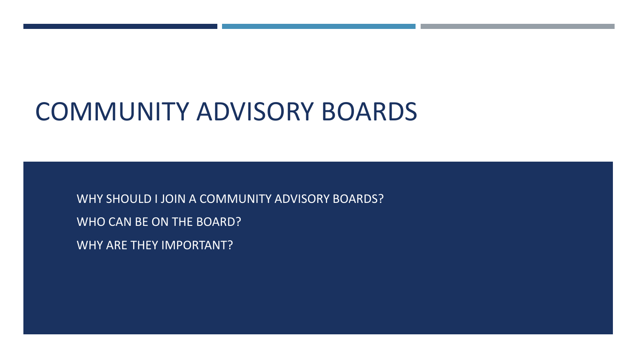# COMMUNITY ADVISORY BOARDS

WHY SHOULD I JOIN A COMMUNITY ADVISORY BOARDS? WHO CAN BE ON THE BOARD? WHY ARE THEY IMPORTANT?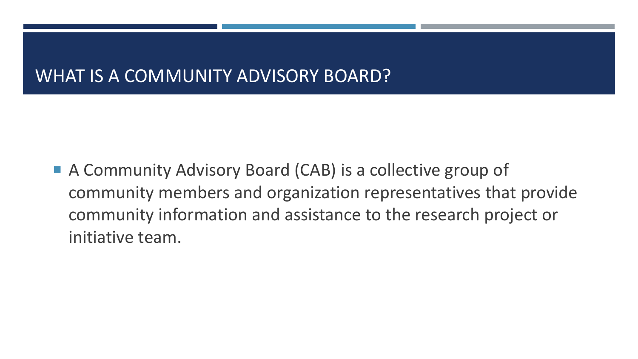## WHAT IS A COMMUNITY ADVISORY BOARD?

■ A Community Advisory Board (CAB) is a collective group of community members and organization representatives that provide community information and assistance to the research project or initiative team.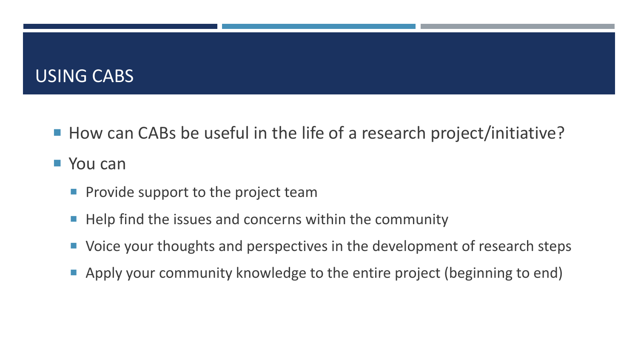#### USING CABS

■ How can CABs be useful in the life of a research project/initiative?

#### ■ You can

- $\blacksquare$  Provide support to the project team
- $\blacksquare$  Help find the issues and concerns within the community
- Voice your thoughts and perspectives in the development of research steps
- Apply your community knowledge to the entire project (beginning to end)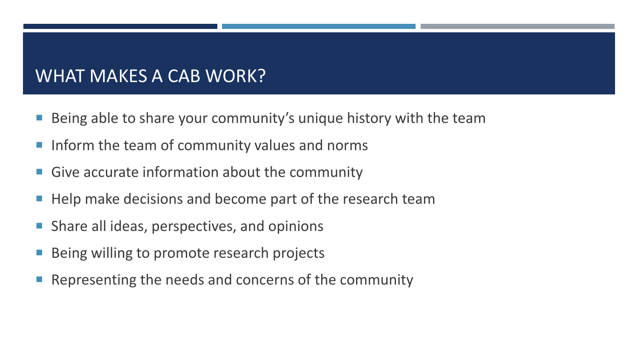## WHAT MAKES A CAB WORK?

- Being able to share your community's unique history with the team
- I Inform the team of community values and norms
- **Give accurate information about the community**
- Help make decisions and become part of the research team
- Share all ideas, perspectives, and opinions
- Being willing to promote research projects
- Representing the needs and concerns of the community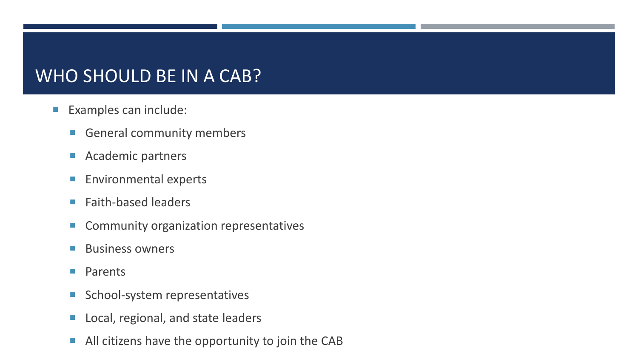## WHO SHOULD BE IN A CAB?

- **Examples can include:** 
	- General community members
	- **Academic partners**
	- **Environmental experts**
	- **Faith-based leaders**
	- **Community organization representatives**
	- **Business owners**
	- **Parents**
	- School-system representatives
	- **Local, regional, and state leaders**
	- **All citizens have the opportunity to join the CAB**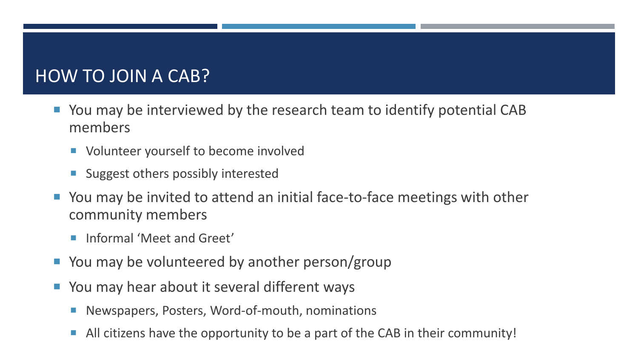## HOW TO JOIN A CAB?

- You may be interviewed by the research team to identify potential CAB members
	- Volunteer yourself to become involved
	- **Suggest others possibly interested**
- You may be invited to attend an initial face-to-face meetings with other community members
	- **Informal 'Meet and Greet'**
- You may be volunteered by another person/group
- You may hear about it several different ways
	- Newspapers, Posters, Word-of-mouth, nominations
	- All citizens have the opportunity to be a part of the CAB in their community!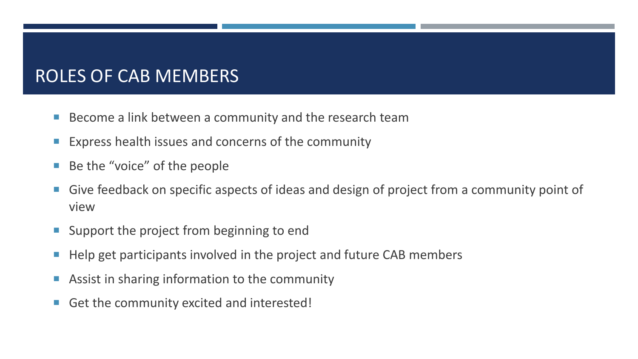## ROLES OF CAB MEMBERS

- Become a link between a community and the research team
- **Express health issues and concerns of the community**
- Be the "voice" of the people
- **Give feedback on specific aspects of ideas and design of project from a community point of** view
- **Support the project from beginning to end**
- Help get participants involved in the project and future CAB members
- **Assist in sharing information to the community**
- Get the community excited and interested!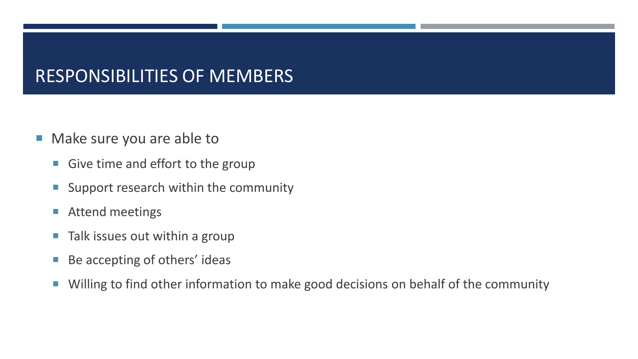## RESPONSIBILITIES OF MEMBERS

- **Make sure you are able to** 
	- Give time and effort to the group
	- **Support research within the community**
	- **Attend meetings**
	- **Talk issues out within a group**
	- Be accepting of others' ideas
	- **Willing to find other information to make good decisions on behalf of the community**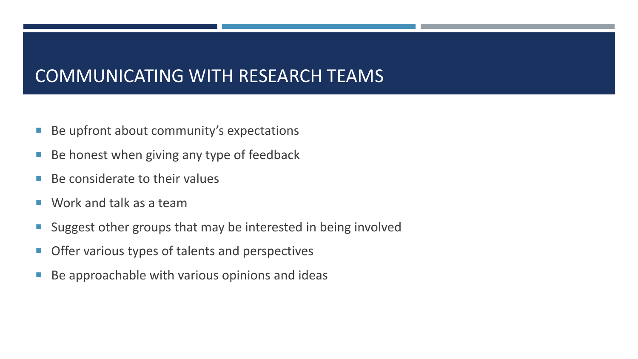### COMMUNICATING WITH RESEARCH TEAMS

- **Be upfront about community's expectations**
- Be honest when giving any type of feedback
- $\blacksquare$  Be considerate to their values
- Work and talk as a team
- Suggest other groups that may be interested in being involved
- **Offer various types of talents and perspectives**
- Be approachable with various opinions and ideas